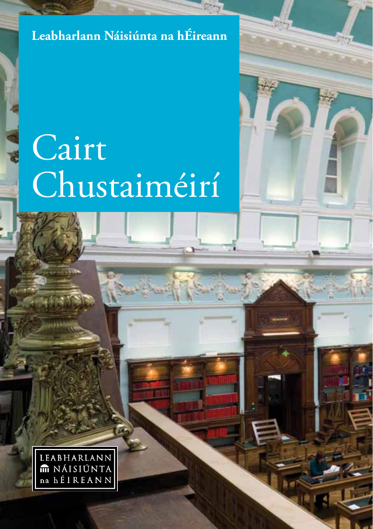#### **Leabharlann Náisiúnta na hÉireann**

# Cairt Chustaiméirí



**1**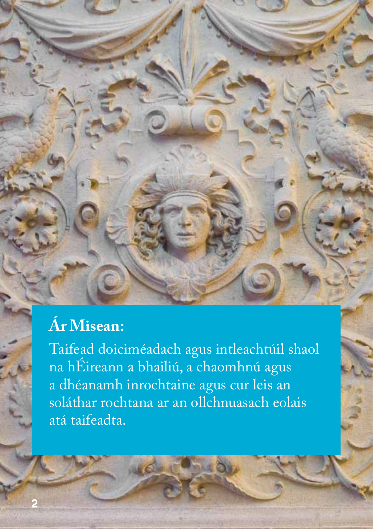# **Ár Misean:**

**2**

Taifead doiciméadach agus intleachtúil shaol na hÉireann a bhailiú, a chaomhnú agus a dhéanamh inrochtaine agus cur leis an soláthar rochtana ar an ollchnuasach eolais atá taifeadta.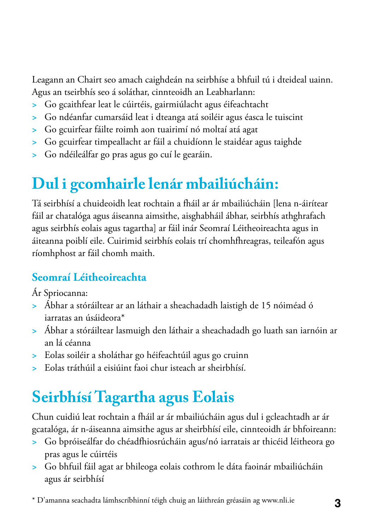Leagann an Chairt seo amach caighdeán na seirbhíse a bhfuil tú i dteideal uainn. Agus an tseirbhís seo á soláthar, cinnteoidh an Leabharlann:

- **>** Go gcaithfear leat le cúirtéis, gairmiúlacht agus éifeachtacht
- **>** Go ndéanfar cumarsáid leat i dteanga atá soiléir agus éasca le tuiscint
- **>** Go gcuirfear fáilte roimh aon tuairimí nó moltaí atá agat
- **>** Go gcuirfear timpeallacht ar fáil a chuidíonn le staidéar agus taighde
- **>** Go ndéileálfar go pras agus go cuí le gearáin.

## **Dul i gcomhairle lenár mbailiúcháin:**

Tá seirbhísí a chuideoidh leat rochtain a fháil ar ár mbailiúcháin [lena n-áirítear fáil ar chatalóga agus áiseanna aimsithe, aisghabháil ábhar, seirbhís athghrafach agus seirbhís eolais agus tagartha] ar fáil inár Seomraí Léitheoireachta agus in áiteanna poiblí eile. Cuirimid seirbhís eolais trí chomhfhreagras, teileafón agus ríomhphost ar fáil chomh maith.

#### **Seomraí Léitheoireachta**

Ár Spriocanna:

- **>** Ábhar a stóráiltear ar an láthair a sheachadadh laistigh de 15 nóiméad ó iarratas an úsáideora\*
- **>** Ábhar a stóráiltear lasmuigh den láthair a sheachadadh go luath san iarnóin ar an lá céanna
- **>** Eolas soiléir a sholáthar go héifeachtúil agus go cruinn
- **>** Eolas tráthúil a eisiúint faoi chur isteach ar sheirbhísí.

# **Seirbhísí Tagartha agus Eolais**

Chun cuidiú leat rochtain a fháil ar ár mbailiúcháin agus dul i gcleachtadh ar ár gcatalóga, ár n-áiseanna aimsithe agus ar sheirbhísí eile, cinnteoidh ár bhfoireann:

- **>** Go bpróiseálfar do chéadfhiosrúcháin agus/nó iarratais ar thicéid léitheora go pras agus le cúirtéis
- **>** Go bhfuil fáil agat ar bhileoga eolais cothrom le dáta faoinár mbailiúcháin agus ár seirbhísí

\* D'amanna seachadta lámhscríbhinní téigh chuig an láithreán gréasáin ag www.nli.ie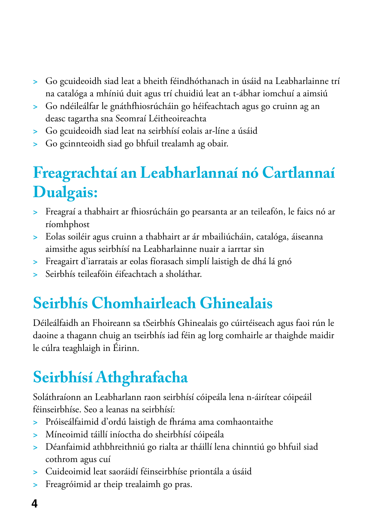- **>** Go gcuideoidh siad leat a bheith féindhóthanach in úsáid na Leabharlainne trí na catalóga a mhíniú duit agus trí chuidiú leat an t-ábhar iomchuí a aimsiú
- **>** Go ndéileálfar le gnáthfhiosrúcháin go héifeachtach agus go cruinn ag an deasc tagartha sna Seomraí Léitheoireachta
- **>** Go gcuideoidh siad leat na seirbhísí eolais ar-líne a úsáid
- **>** Go gcinnteoidh siad go bhfuil trealamh ag obair.

## **Freagrachtaí an Leabharlannaí nó Cartlannaí Dualgais:**

- **>** Freagraí a thabhairt ar fhiosrúcháin go pearsanta ar an teileafón, le faics nó ar ríomhphost
- **>** Eolas soiléir agus cruinn a thabhairt ar ár mbailiúcháin, catalóga, áiseanna aimsithe agus seirbhísí na Leabharlainne nuair a iarrtar sin
- **>** Freagairt d'iarratais ar eolas fíorasach simplí laistigh de dhá lá gnó
- **>** Seirbhís teileafóin éifeachtach a sholáthar.

# **Seirbhís Chomhairleach Ghinealais**

Déileálfaidh an Fhoireann sa tSeirbhís Ghinealais go cúirtéiseach agus faoi rún le daoine a thagann chuig an tseirbhís iad féin ag lorg comhairle ar thaighde maidir le cúlra teaghlaigh in Éirinn.

# **Seirbhísí Athghrafacha**

Soláthraíonn an Leabharlann raon seirbhísí cóipeála lena n-áirítear cóipeáil féinseirbhíse. Seo a leanas na seirbhísí:

- **>** Próiseálfaimid d'ordú laistigh de fhráma ama comhaontaithe
- **>** Míneoimid táillí iníoctha do sheirbhísí cóipeála
- **>** Déanfaimid athbhreithniú go rialta ar tháillí lena chinntiú go bhfuil siad cothrom agus cuí
- **>** Cuideoimid leat saoráidí féinseirbhíse priontála a úsáid
- **>** Freagróimid ar theip trealaimh go pras.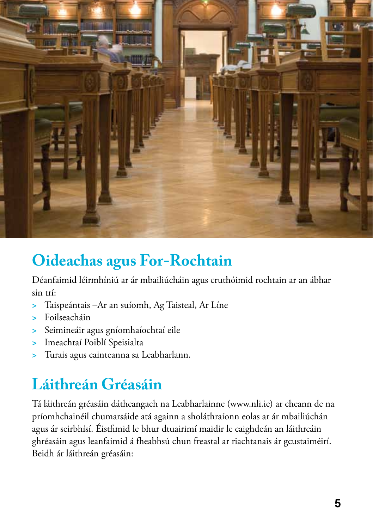

## **Oideachas agus For-Rochtain**

Déanfaimid léirmhíniú ar ár mbailiúcháin agus cruthóimid rochtain ar an ábhar sin trí:

- **>** Taispeántais –Ar an suíomh, Ag Taisteal, Ar Líne
- **>** Foilseacháin
- **>** Seimineáir agus gníomhaíochtaí eile
- **>** Imeachtaí Poiblí Speisialta
- **>** Turais agus cainteanna sa Leabharlann.

# **Láithreán Gréasáin**

Tá láithreán gréasáin dátheangach na Leabharlainne (www.nli.ie) ar cheann de na príomhchainéil chumarsáide atá againn a sholáthraíonn eolas ar ár mbailiúchán agus ár seirbhísí. Éistfimid le bhur dtuairimí maidir le caighdeán an láithreáin ghréasáin agus leanfaimid á fheabhsú chun freastal ar riachtanais ár gcustaiméirí. Beidh ár láithreán gréasáin: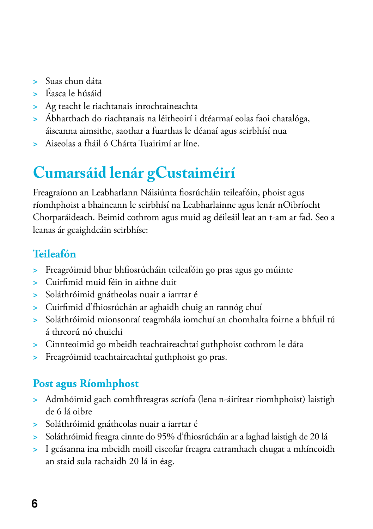- **>** Suas chun dáta
- **>** Éasca le húsáid
- **>** Ag teacht le riachtanais inrochtaineachta
- **>** Ábharthach do riachtanais na léitheoirí i dtéarmaí eolas faoi chatalóga, áiseanna aimsithe, saothar a fuarthas le déanaí agus seirbhísí nua
- **>** Aiseolas a fháil ó Chárta Tuairimí ar líne.

# **Cumarsáid lenár gCustaiméirí**

Freagraíonn an Leabharlann Náisiúnta fiosrúcháin teileafóin, phoist agus ríomhphoist a bhaineann le seirbhísí na Leabharlainne agus lenár nOibríocht Chorparáideach. Beimid cothrom agus muid ag déileáil leat an t-am ar fad. Seo a leanas ár gcaighdeáin seirbhíse:

#### **Teileafón**

- **>** Freagróimid bhur bhfiosrúcháin teileafóin go pras agus go múinte
- **>** Cuirfimid muid féin in aithne duit
- **>** Soláthróimid gnátheolas nuair a iarrtar é
- **>** Cuirfimid d'fhiosrúchán ar aghaidh chuig an rannóg chuí
- **>** Soláthróimid mionsonraí teagmhála iomchuí an chomhalta foirne a bhfuil tú á threorú nó chuichi
- **>** Cinnteoimid go mbeidh teachtaireachtaí guthphoist cothrom le dáta
- **>** Freagróimid teachtaireachtaí guthphoist go pras.

#### **Post agus Ríomhphost**

- **>** Admhóimid gach comhfhreagras scríofa (lena n-áirítear ríomhphoist) laistigh de 6 lá oibre
- **>** Soláthróimid gnátheolas nuair a iarrtar é
- **>** Soláthróimid freagra cinnte do 95% d'fhiosrúcháin ar a laghad laistigh de 20 lá
- **>** I gcásanna ina mbeidh moill eiseofar freagra eatramhach chugat a mhíneoidh an staid sula rachaidh 20 lá in éag.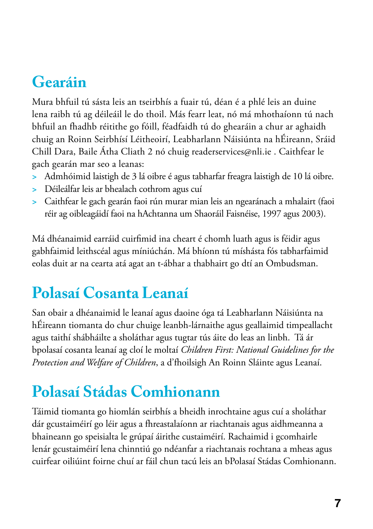# **Gearáin**

Mura bhfuil tú sásta leis an tseirbhís a fuair tú, déan é a phlé leis an duine lena raibh tú ag déileáil le do thoil. Más fearr leat, nó má mhothaíonn tú nach bhfuil an fhadhb réitithe go fóill, féadfaidh tú do ghearáin a chur ar aghaidh chuig an Roinn Seirbhísí Léitheoirí, Leabharlann Náisiúnta na hÉireann, Sráid Chill Dara, Baile Átha Cliath 2 nó chuig readerservices@nli.ie . Caithfear le gach gearán mar seo a leanas:

- **>** Admhóimid laistigh de 3 lá oibre é agus tabharfar freagra laistigh de 10 lá oibre.
- **>** Déileálfar leis ar bhealach cothrom agus cuí
- **>** Caithfear le gach gearán faoi rún murar mian leis an ngearánach a mhalairt (faoi réir ag oibleagáidí faoi na hAchtanna um Shaoráil Faisnéise, 1997 agus 2003).

Má dhéanaimid earráid cuirfimid ina cheart é chomh luath agus is féidir agus gabhfaimid leithscéal agus míniúchán. Má bhíonn tú míshásta fós tabharfaimid eolas duit ar na cearta atá agat an t-ábhar a thabhairt go dtí an Ombudsman.

### **Polasaí Cosanta Leanaí**

San obair a dhéanaimid le leanaí agus daoine óga tá Leabharlann Náisiúnta na hÉireann tiomanta do chur chuige leanbh-lárnaithe agus geallaimid timpeallacht agus taithí shábháilte a sholáthar agus tugtar tús áite do leas an linbh. Tá ár bpolasaí cosanta leanaí ag cloí le moltaí *Children First: National Guidelines for the Protection and Welfare of Children*, a d'fhoilsigh An Roinn Sláinte agus Leanaí.

# **Polasaí Stádas Comhionann**

Táimid tiomanta go hiomlán seirbhís a bheidh inrochtaine agus cuí a sholáthar dár gcustaiméirí go léir agus a fhreastalaíonn ar riachtanais agus aidhmeanna a bhaineann go speisialta le grúpaí áirithe custaiméirí. Rachaimid i gcomhairle lenár gcustaiméirí lena chinntiú go ndéanfar a riachtanais rochtana a mheas agus cuirfear oiliúint foirne chuí ar fáil chun tacú leis an bPolasaí Stádas Comhionann.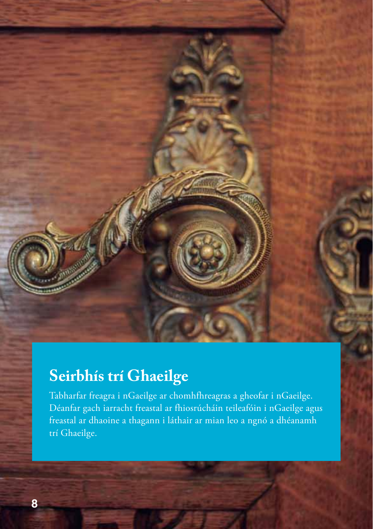**Seirbhís trí Ghaeilge**

Tabharfar freagra i nGaeilge ar chomhfhreagras a gheofar i nGaeilge. Déanfar gach iarracht freastal ar fhiosrúcháin teileafóin i nGaeilge agus freastal ar dhaoine a thagann i láthair ar mian leo a ngnó a dhéanamh trí Ghaeilge.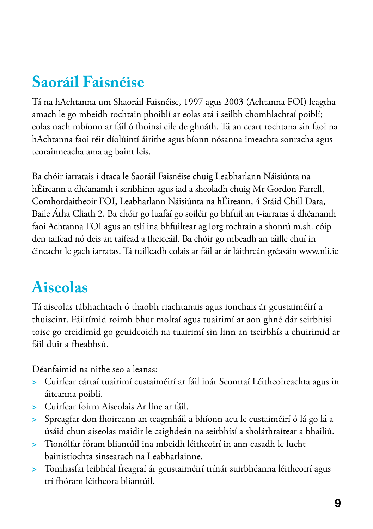## **Saoráil Faisnéise**

Tá na hAchtanna um Shaoráil Faisnéise, 1997 agus 2003 (Achtanna FOI) leagtha amach le go mbeidh rochtain phoiblí ar eolas atá i seilbh chomhlachtaí poiblí; eolas nach mbíonn ar fáil ó fhoinsí eile de ghnáth. Tá an ceart rochtana sin faoi na hAchtanna faoi réir díolúintí áirithe agus bíonn nósanna imeachta sonracha agus teorainneacha ama ag baint leis.

Ba chóir iarratais i dtaca le Saoráil Faisnéise chuig Leabharlann Náisiúnta na hÉireann a dhéanamh i scríbhinn agus iad a sheoladh chuig Mr Gordon Farrell, Comhordaitheoir FOI, Leabharlann Náisiúnta na hÉireann, 4 Sráid Chill Dara, Baile Átha Cliath 2. Ba chóir go luafaí go soiléir go bhfuil an t-iarratas á dhéanamh faoi Achtanna FOI agus an tslí ina bhfuiltear ag lorg rochtain a shonrú m.sh. cóip den taifead nó deis an taifead a fheiceáil. Ba chóir go mbeadh an táille chuí in éineacht le gach iarratas. Tá tuilleadh eolais ar fáil ar ár láithreán gréasáin www.nli.ie

# **Aiseolas**

Tá aiseolas tábhachtach ó thaobh riachtanais agus ionchais ár gcustaiméirí a thuiscint. Fáiltímid roimh bhur moltaí agus tuairimí ar aon ghné dár seirbhísí toisc go creidimid go gcuideoidh na tuairimí sin linn an tseirbhís a chuirimid ar fáil duit a fheabhsú.

Déanfaimid na nithe seo a leanas:

- **>** Cuirfear cártaí tuairimí custaiméirí ar fáil inár Seomraí Léitheoireachta agus in áiteanna poiblí.
- **>** Cuirfear foirm Aiseolais Ar líne ar fáil.
- **>** Spreagfar don fhoireann an teagmháil a bhíonn acu le custaiméirí ó lá go lá a úsáid chun aiseolas maidir le caighdeán na seirbhísí a sholáthraítear a bhailiú.
- **>** Tionólfar fóram bliantúil ina mbeidh léitheoirí in ann casadh le lucht bainistíochta sinsearach na Leabharlainne.
- **>** Tomhasfar leibhéal freagraí ár gcustaiméirí trínár suirbhéanna léitheoirí agus trí fhóram léitheora bliantúil.